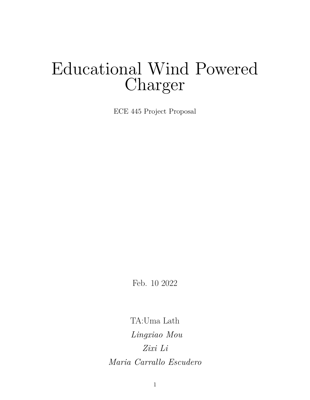# Educational Wind Powered Charger

ECE 445 Project Proposal

Feb. 10 2022

TA:Uma Lath *Lingxiao Mou Zixi Li Maria Carrallo Escudero*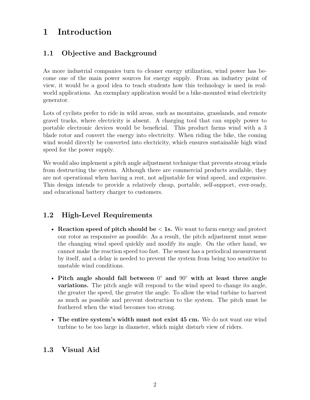# **1 Introduction**

## **1.1 Objective and Background**

As more industrial companies turn to cleaner energy utilization, wind power has become one of the main power sources for energy supply. From an industry point of view, it would be a good idea to teach students how this technology is used in realworld applications. An exemplary application would be a bike-mounted wind electricity generator.

Lots of cyclists prefer to ride in wild areas, such as mountains, grasslands, and remote gravel tracks, where electricity is absent. A charging tool that can supply power to portable electronic devices would be beneficial. This product farms wind with a 3 blade rotor and convert the energy into electricity. When riding the bike, the coming wind would directly be converted into electricity, which ensures sustainable high wind speed for the power supply.

We would also implement a pitch angle adjustment technique that prevents strong winds from destructing the system. Although there are commercial products available, they are not operational when having a rest, not adjustable for wind speed, and expensive. This design intends to provide a relatively cheap, portable, self-support, ever-ready, and educational battery charger to customers.

## **1.2 High-Level Requirements**

- **Reaction speed of pitch should be** *<* **1s.** We want to farm energy and protect our rotor as responsive as possible. As a result, the pitch adjustment must sense the changing wind speed quickly and modify its angle. On the other hand, we cannot make the reaction speed too fast. The sensor has a periodical measurement by itself, and a delay is needed to prevent the system from being too sensitive to unstable wind conditions.
- **Pitch angle should fall between** 0 **and** 90◦ **with at least three angle variations.** The pitch angle will respond to the wind speed to change its angle, the greater the speed, the greater the angle. To allow the wind turbine to harvest as much as possible and prevent destruction to the system. The pitch must be feathered when the wind becomes too strong.
- **The entire system's width must not exist 45 cm.** We do not want our wind turbine to be too large in diameter, which might disturb view of riders.

## **1.3 Visual Aid**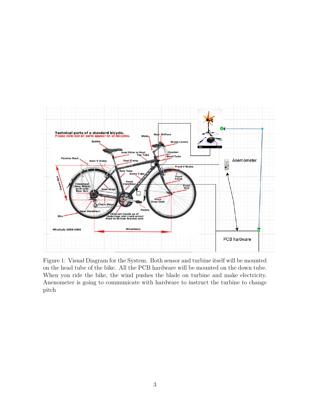

Figure 1: Visual Diagram for the System. Both sensor and turbine itself will be mounted on the head tube of the bike. All the PCB hardware will be mounted on the down tube. When you ride the bike, the wind pushes the blade on turbine and make electricity. Anenometer is going to communicate with hardware to instruct the turbine to change pitch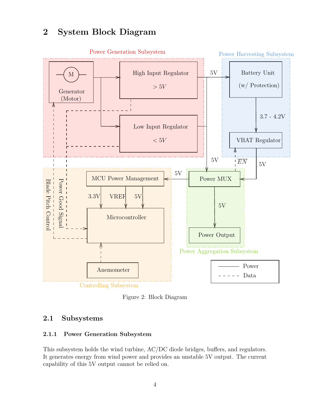# **2 System Block Diagram**



Figure 2: Block Diagram

## **2.1 Subsystems**

#### **2.1.1 Power Generation Subsystem**

This subsystem holds the wind turbine, AC/DC diode bridges, buffers, and regulators. It generates energy from wind power and provides an unstable 5V output. The current capability of this 5V output cannot be relied on.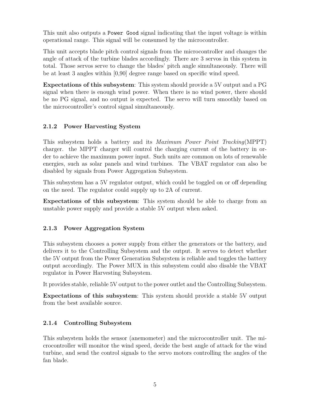This unit also outputs a Power Good signal indicating that the input voltage is within operational range. This signal will be consumed by the microcontroller.

This unit accepts blade pitch control signals from the microcontroller and changes the angle of attack of the turbine blades accordingly. There are 3 servos in this system in total. Those servos serve to change the blades' pitch angle simultaneously. There will be at least 3 angles within [0,90] degree range based on specific wind speed.

**Expectations of this subsystem**: This system should provide a 5V output and a PG signal when there is enough wind power. When there is no wind power, there should be no PG signal, and no output is expected. The servo will turn smoothly based on the microcontroller's control signal simultaneously.

#### **2.1.2 Power Harvesting System**

This subsystem holds a battery and its *Maximum Power Point Tracking*(MPPT) charger. the MPPT charger will control the charging current of the battery in order to achieve the maximum power input. Such units are common on lots of renewable energies, such as solar panels and wind turbines. The VBAT regulator can also be disabled by signals from Power Aggregation Subsystem.

This subsystem has a 5V regulator output, which could be toggled on or off depending on the need. The regulator could supply up to 2A of current.

**Expectations of this subsystem**: This system should be able to charge from an unstable power supply and provide a stable 5V output when asked.

#### **2.1.3 Power Aggregation System**

This subsystem chooses a power supply from either the generators or the battery, and delivers it to the Controlling Subsystem and the output. It serves to detect whether the 5V output from the Power Generation Subsystem is reliable and toggles the battery output accordingly. The Power MUX in this subsystem could also disable the VBAT regulator in Power Harvesting Subsystem.

It provides stable, reliable 5V output to the power outlet and the Controlling Subsystem.

**Expectations of this subsystem**: This system should provide a stable 5V output from the best available source.

#### **2.1.4 Controlling Subsystem**

This subsystem holds the sensor (anemometer) and the microcontroller unit. The microcontroller will monitor the wind speed, decide the best angle of attack for the wind turbine, and send the control signals to the servo motors controlling the angles of the fan blade.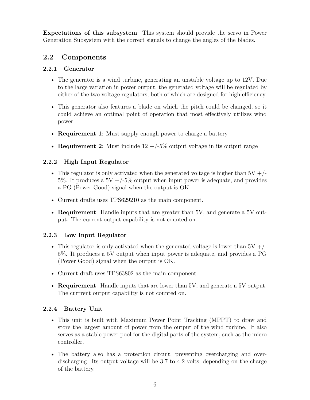**Expectations of this subsystem**: This system should provide the servo in Power Generation Subsystem with the correct signals to change the angles of the blades.

### **2.2 Components**

#### **2.2.1 Generator**

- The generator is a wind turbine, generating an unstable voltage up to 12V. Due to the large variation in power output, the generated voltage will be regulated by either of the two voltage regulators, both of which are designed for high efficiency.
- This generator also features a blade on which the pitch could be changed, so it could achieve an optimal point of operation that most effectively utilizes wind power.
- **Requirement 1**: Must supply enough power to charge a battery
- **Requirement 2**: Must include  $12 + (-5\%$  output voltage in its output range

#### **2.2.2 High Input Regulator**

- This regulator is only activated when the generated voltage is higher than  $5V +$ /-5%. It produces a  $5V + (-5\%$  output when input power is adequate, and provides a PG (Power Good) signal when the output is OK.
- Current drafts uses TPS629210 as the main component.
- **Requirement**: Handle inputs that are greater than 5V, and generate a 5V output. The current output capability is not counted on.

#### **2.2.3 Low Input Regulator**

- This regulator is only activated when the generated voltage is lower than  $5V + /-$ 5%. It produces a 5V output when input power is adequate, and provides a PG (Power Good) signal when the output is OK.
- Current draft uses TPS63802 as the main component.
- **Requirement**: Handle inputs that are lower than 5V, and generate a 5V output. The currrent output capability is not counted on.

#### **2.2.4 Battery Unit**

- This unit is built with Maximum Power Point Tracking (MPPT) to draw and store the largest amount of power from the output of the wind turbine. It also serves as a stable power pool for the digital parts of the system, such as the micro controller.
- The battery also has a protection circuit, preventing overcharging and overdischarging. Its output voltage will be 3.7 to 4.2 volts, depending on the charge of the battery.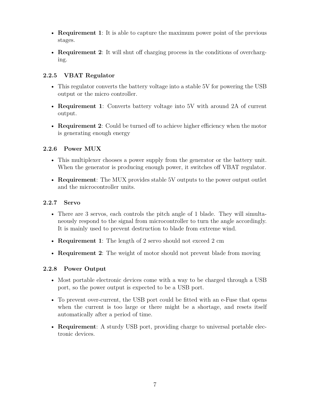- **Requirement 1**: It is able to capture the maximum power point of the previous stages.
- **Requirement 2**: It will shut off charging process in the conditions of overcharging.

#### **2.2.5 VBAT Regulator**

- This regulator converts the battery voltage into a stable 5V for powering the USB output or the micro controller.
- **Requirement 1**: Converts battery voltage into 5V with around 2A of current output.
- **Requirement 2**: Could be turned off to achieve higher efficiency when the motor is generating enough energy

#### **2.2.6 Power MUX**

- This multiplexer chooses a power supply from the generator or the battery unit. When the generator is producing enough power, it switches off VBAT regulator.
- **Requirement**: The MUX provides stable 5V outputs to the power output outlet and the microcontroller units.

#### **2.2.7 Servo**

- There are 3 servos, each controls the pitch angle of 1 blade. They will simultaneously respond to the signal from microcontroller to turn the angle accordingly. It is mainly used to prevent destruction to blade from extreme wind.
- **Requirement 1**: The length of 2 servo should not exceed 2 cm
- **Requirement 2**: The weight of motor should not prevent blade from moving

#### **2.2.8 Power Output**

- Most portable electronic devices come with a way to be charged through a USB port, so the power output is expected to be a USB port.
- To prevent over-current, the USB port could be fitted with an e-Fuse that opens when the current is too large or there might be a shortage, and resets itself automatically after a period of time.
- **Requirement**: A sturdy USB port, providing charge to universal portable electronic devices.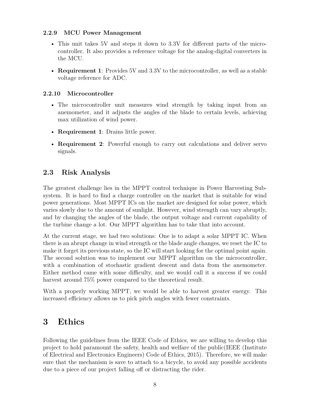#### **2.2.9 MCU Power Management**

- This unit takes 5V and steps it down to 3.3V for different parts of the microcontroller. It also provides a reference voltage for the analog-digital converters in the MCU.
- **Requirement 1**: Provides 5V and 3.3V to the microcontroller, as well as a stable voltage reference for ADC.

#### **2.2.10 Microcontroller**

- The microcontroller unit measures wind strength by taking input from an anemometer, and it adjusts the angles of the blade to certain levels, achieving max utilization of wind power.
- **Requirement 1**: Drains little power.
- **Requirement 2**: Powerful enough to carry out calculations and deliver servo signals.

#### **2.3 Risk Analysis**

The greatest challenge lies in the MPPT control technique in Power Harvesting Subsystem. It is hard to find a charge controller on the market that is suitable for wind power generations. Most MPPT ICs on the market are designed for solar power, which varies slowly due to the amount of sunlight. However, wind strength can vary abruptly, and by changing the angles of the blade, the output voltage and current capability of the turbine change a lot. Our MPPT algorithm has to take that into account.

At the current stage, we had two solutions: One is to adapt a solar MPPT IC. When there is an abrupt change in wind strength or the blade angle changes, we reset the IC to make it forget its previous state, so the IC will start looking for the optimal point again. The second solution was to implement our MPPT algorithm on the microcontroller, with a combination of stochastic gradient descent and data from the anemometer. Either method came with some difficulty, and we would call it a success if we could harvest around 75% power compared to the theoretical result.

With a properly working MPPT, we would be able to harvest greater energy. This increased efficiency allows us to pick pitch angles with fewer constraints.

# **3 Ethics**

Following the guidelines from the IEEE Code of Ethics, we are willing to develop this project to hold paramount the safety, health and welfare of the public(IEEE (Institute of Electrical and Electronics Engineers) Code of Ethics, 2015). Therefore, we will make sure that the mechanism is save to attach to a bicycle, to avoid any possible accidents due to a piece of our project falling off or distracting the rider.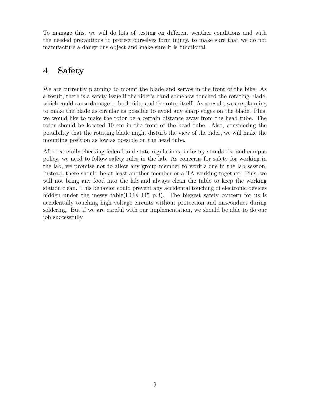To manage this, we will do lots of testing on different weather conditions and with the needed precautions to protect ourselves form injury, to make sure that we do not manufacture a dangerous object and make sure it is functional.

# **4 Safety**

We are currently planning to mount the blade and servos in the front of the bike. As a result, there is a safety issue if the rider's hand somehow touched the rotating blade, which could cause damage to both rider and the rotor itself. As a result, we are planning to make the blade as circular as possible to avoid any sharp edges on the blade. Plus, we would like to make the rotor be a certain distance away from the head tube. The rotor should be located 10 cm in the front of the head tube. Also, considering the possibility that the rotating blade might disturb the view of the rider, we will make the mounting position as low as possible on the head tube.

After carefully checking federal and state regulations, industry standards, and campus policy, we need to follow safety rules in the lab. As concerns for safety for working in the lab, we promise not to allow any group member to work alone in the lab session. Instead, there should be at least another member or a TA working together. Plus, we will not bring any food into the lab and always clean the table to keep the working station clean. This behavior could prevent any accidental touching of electronic devices hidden under the messy table(ECE 445 p.3). The biggest safety concern for us is accidentally touching high voltage circuits without protection and misconduct during soldering. But if we are careful with our implementation, we should be able to do our job successfully.